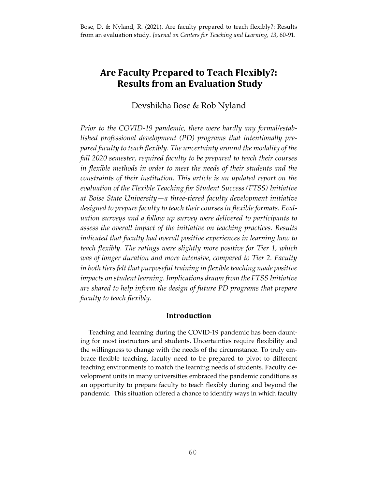# **Are Faculty Prepared to Teach Flexibly?: Results from an Evaluation Study**

# Devshikha Bose & Rob Nyland

*Prior to the COVID-19 pandemic, there were hardly any formal/established professional development (PD) programs that intentionally prepared faculty to teach flexibly. The uncertainty around the modality of the fall 2020 semester, required faculty to be prepared to teach their courses in flexible methods in order to meet the needs of their students and the constraints of their institution. This article is an updated report on the evaluation of the Flexible Teaching for Student Success (FTSS) Initiative at Boise State University—a three-tiered faculty development initiative designed to prepare faculty to teach their courses in flexible formats. Evaluation surveys and a follow up survey were delivered to participants to assess the overall impact of the initiative on teaching practices. Results indicated that faculty had overall positive experiences in learning how to teach flexibly. The ratings were slightly more positive for Tier 1, which was of longer duration and more intensive, compared to Tier 2. Faculty in both tiers felt that purposeful training in flexible teaching made positive impacts on student learning. Implications drawn from the FTSS Initiative are shared to help inform the design of future PD programs that prepare faculty to teach flexibly.*

# **Introduction**

 Teaching and learning during the COVID-19 pandemic has been daunting for most instructors and students. Uncertainties require flexibility and the willingness to change with the needs of the circumstance. To truly embrace flexible teaching, faculty need to be prepared to pivot to different teaching environments to match the learning needs of students. Faculty development units in many universities embraced the pandemic conditions as an opportunity to prepare faculty to teach flexibly during and beyond the pandemic. This situation offered a chance to identify ways in which faculty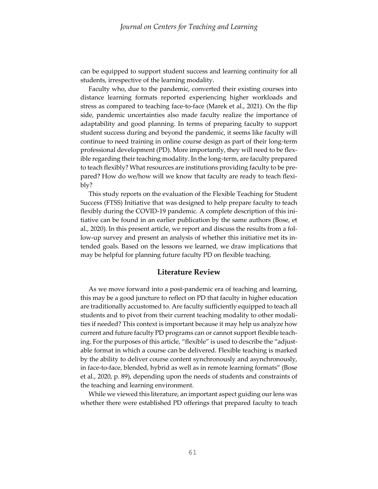can be equipped to support student success and learning continuity for all students, irrespective of the learning modality.

 Faculty who, due to the pandemic, converted their existing courses into distance learning formats reported experiencing higher workloads and stress as compared to teaching face-to-face (Marek et al., 2021). On the flip side, pandemic uncertainties also made faculty realize the importance of adaptability and good planning. In terms of preparing faculty to support student success during and beyond the pandemic, it seems like faculty will continue to need training in online course design as part of their long-term professional development (PD). More importantly, they will need to be flexible regarding their teaching modality. In the long-term, are faculty prepared to teach flexibly? What resources are institutions providing faculty to be prepared? How do we/how will we know that faculty are ready to teach flexibly?

 This study reports on the evaluation of the Flexible Teaching for Student Success (FTSS) Initiative that was designed to help prepare faculty to teach flexibly during the COVID-19 pandemic. A complete description of this initiative can be found in an earlier publication by the same authors (Bose, et al., 2020). In this present article, we report and discuss the results from a follow-up survey and present an analysis of whether this initiative met its intended goals. Based on the lessons we learned, we draw implications that may be helpful for planning future faculty PD on flexible teaching.

## **Literature Review**

 As we move forward into a post-pandemic era of teaching and learning, this may be a good juncture to reflect on PD that faculty in higher education are traditionally accustomed to. Are faculty sufficiently equipped to teach all students and to pivot from their current teaching modality to other modalities if needed? This context is important because it may help us analyze how current and future faculty PD programs can or cannot support flexible teaching. For the purposes of this article, "flexible" is used to describe the "adjustable format in which a course can be delivered. Flexible teaching is marked by the ability to deliver course content synchronously and asynchronously, in face-to-face, blended, hybrid as well as in remote learning formats" (Bose et al., 2020, p. 89), depending upon the needs of students and constraints of the teaching and learning environment.

 While we viewed this literature, an important aspect guiding our lens was whether there were established PD offerings that prepared faculty to teach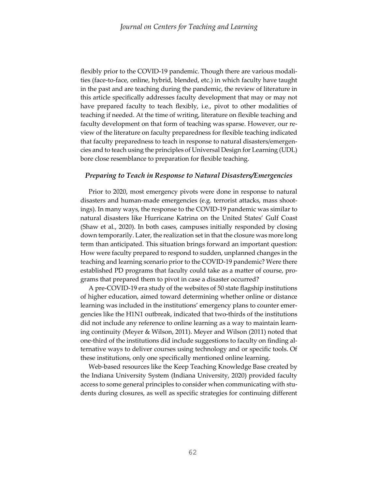flexibly prior to the COVID-19 pandemic. Though there are various modalities (face-to-face, online, hybrid, blended, etc.) in which faculty have taught in the past and are teaching during the pandemic, the review of literature in this article specifically addresses faculty development that may or may not have prepared faculty to teach flexibly, i.e., pivot to other modalities of teaching if needed. At the time of writing, literature on flexible teaching and faculty development on that form of teaching was sparse. However, our review of the literature on faculty preparedness for flexible teaching indicated that faculty preparedness to teach in response to natural disasters/emergencies and to teach using the principles of Universal Design for Learning (UDL) bore close resemblance to preparation for flexible teaching.

### *Preparing to Teach in Response to Natural Disasters/Emergencies*

 Prior to 2020, most emergency pivots were done in response to natural disasters and human-made emergencies (e.g. terrorist attacks, mass shootings). In many ways, the response to the COVID-19 pandemic was similar to natural disasters like Hurricane Katrina on the United States' Gulf Coast (Shaw et al., 2020). In both cases, campuses initially responded by closing down temporarily. Later, the realization set in that the closure was more long term than anticipated. This situation brings forward an important question: How were faculty prepared to respond to sudden, unplanned changes in the teaching and learning scenario prior to the COVID-19 pandemic? Were there established PD programs that faculty could take as a matter of course, programs that prepared them to pivot in case a disaster occurred?

 A pre-COVID-19 era study of the websites of 50 state flagship institutions of higher education, aimed toward determining whether online or distance learning was included in the institutions' emergency plans to counter emergencies like the H1N1 outbreak, indicated that two-thirds of the institutions did not include any reference to online learning as a way to maintain learning continuity (Meyer & Wilson, 2011). Meyer and Wilson (2011) noted that one-third of the institutions did include suggestions to faculty on finding alternative ways to deliver courses using technology and or specific tools. Of these institutions, only one specifically mentioned online learning.

 Web-based resources like the Keep Teaching Knowledge Base created by the Indiana University System (Indiana University, 2020) provided faculty access to some general principles to consider when communicating with students during closures, as well as specific strategies for continuing different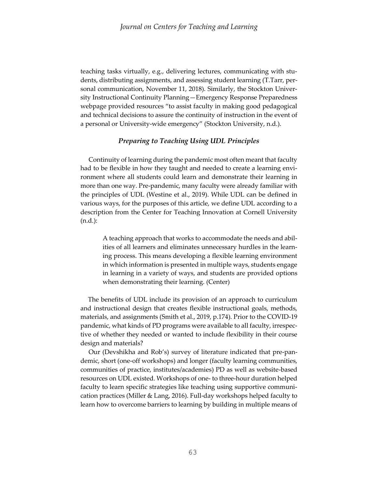teaching tasks virtually, e.g., delivering lectures, communicating with students, distributing assignments, and assessing student learning (T.Tarr, personal communication, November 11, 2018). Similarly, the Stockton University Instructional Continuity Planning—Emergency Response Preparedness webpage provided resources "to assist faculty in making good pedagogical and technical decisions to assure the continuity of instruction in the event of a personal or University-wide emergency" (Stockton University, n.d.).

## *Preparing to Teaching Using UDL Principles*

 Continuity of learning during the pandemic most often meant that faculty had to be flexible in how they taught and needed to create a learning environment where all students could learn and demonstrate their learning in more than one way. Pre-pandemic, many faculty were already familiar with the principles of UDL (Westine et al., 2019). While UDL can be defined in various ways, for the purposes of this article, we define UDL according to a description from the Center for Teaching Innovation at Cornell University (n.d.):

A teaching approach that works to accommodate the needs and abilities of all learners and eliminates unnecessary hurdles in the learning process. This means developing a flexible learning environment in which information is presented in multiple ways, students engage in learning in a variety of ways, and students are provided options when demonstrating their learning. (Center)

The benefits of UDL include its provision of an approach to curriculum and instructional design that creates flexible instructional goals, methods, materials, and assignments (Smith et al., 2019, p.174). Prior to the COVID-19 pandemic, what kinds of PD programs were available to all faculty, irrespective of whether they needed or wanted to include flexibility in their course design and materials?

 Our (Devshikha and Rob's) survey of literature indicated that pre-pandemic, short (one-off workshops) and longer (faculty learning communities, communities of practice, institutes/academies) PD as well as website-based resources on UDL existed. Workshops of one- to three-hour duration helped faculty to learn specific strategies like teaching using supportive communication practices (Miller & Lang, 2016). Full-day workshops helped faculty to learn how to overcome barriers to learning by building in multiple means of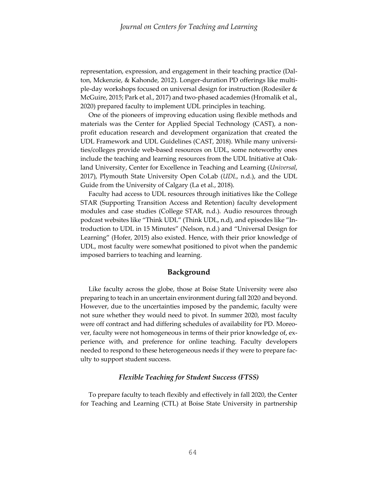representation, expression, and engagement in their teaching practice (Dalton, Mckenzie, & Kahonde, 2012). Longer-duration PD offerings like multiple-day workshops focused on universal design for instruction (Rodesiler & McGuire, 2015; Park et al., 2017) and two-phased academies (Hromalik et al., 2020) prepared faculty to implement UDL principles in teaching.

 One of the pioneers of improving education using flexible methods and materials was the Center for Applied Special Technology (CAST), a nonprofit education research and development organization that created the UDL Framework and UDL Guidelines (CAST, 2018). While many universities/colleges provide web-based resources on UDL, some noteworthy ones include the teaching and learning resources from the UDL Initiative at Oakland University, Center for Excellence in Teaching and Learning (*Universal*, 2017), Plymouth State University Open CoLab (*UDL*, n.d.), and the UDL Guide from the University of Calgary (La et al., 2018).

 Faculty had access to UDL resources through initiatives like the College STAR (Supporting Transition Access and Retention) faculty development modules and case studies (College STAR, n.d.). Audio resources through podcast websites like "Think UDL" (Think UDL, n.d), and episodes like "Introduction to UDL in 15 Minutes" (Nelson, n.d.) and "Universal Design for Learning" (Hofer, 2015) also existed. Hence, with their prior knowledge of UDL, most faculty were somewhat positioned to pivot when the pandemic imposed barriers to teaching and learning.

## **Background**

 Like faculty across the globe, those at Boise State University were also preparing to teach in an uncertain environment during fall 2020 and beyond. However, due to the uncertainties imposed by the pandemic, faculty were not sure whether they would need to pivot. In summer 2020, most faculty were off contract and had differing schedules of availability for PD. Moreover, faculty were not homogeneous in terms of their prior knowledge of, experience with, and preference for online teaching. Faculty developers needed to respond to these heterogeneous needs if they were to prepare faculty to support student success.

### *Flexible Teaching for Student Success (FTSS)*

 To prepare faculty to teach flexibly and effectively in fall 2020, the Center for Teaching and Learning (CTL) at Boise State University in partnership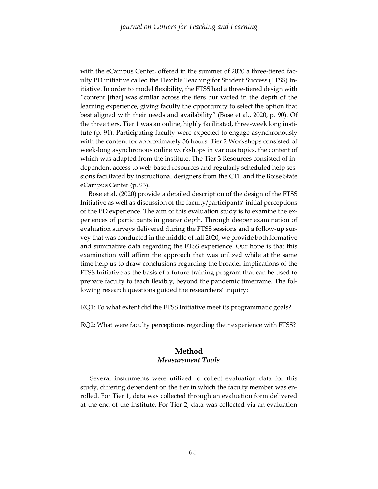with the eCampus Center, offered in the summer of 2020 a three-tiered faculty PD initiative called the Flexible Teaching for Student Success (FTSS) Initiative. In order to model flexibility, the FTSS had a three-tiered design with "content [that] was similar across the tiers but varied in the depth of the learning experience, giving faculty the opportunity to select the option that best aligned with their needs and availability" (Bose et al., 2020, p. 90). Of the three tiers, Tier 1 was an online, highly facilitated, three-week long institute (p. 91). Participating faculty were expected to engage asynchronously with the content for approximately 36 hours. Tier 2 Workshops consisted of week-long asynchronous online workshops in various topics, the content of which was adapted from the institute. The Tier 3 Resources consisted of independent access to web-based resources and regularly scheduled help sessions facilitated by instructional designers from the CTL and the Boise State eCampus Center (p. 93).

 Bose et al. (2020) provide a detailed description of the design of the FTSS Initiative as well as discussion of the faculty/participants' initial perceptions of the PD experience. The aim of this evaluation study is to examine the experiences of participants in greater depth. Through deeper examination of evaluation surveys delivered during the FTSS sessions and a follow-up survey that was conducted in the middle of fall 2020, we provide both formative and summative data regarding the FTSS experience. Our hope is that this examination will affirm the approach that was utilized while at the same time help us to draw conclusions regarding the broader implications of the FTSS Initiative as the basis of a future training program that can be used to prepare faculty to teach flexibly, beyond the pandemic timeframe. The following research questions guided the researchers' inquiry:

RQ1: To what extent did the FTSS Initiative meet its programmatic goals?

RQ2: What were faculty perceptions regarding their experience with FTSS?

## **Method** *Measurement Tools*

Several instruments were utilized to collect evaluation data for this study, differing dependent on the tier in which the faculty member was enrolled. For Tier 1, data was collected through an evaluation form delivered at the end of the institute. For Tier 2, data was collected via an evaluation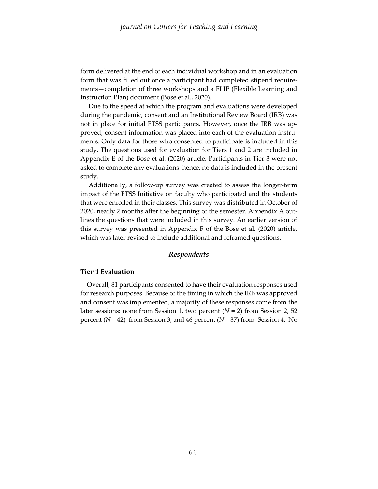form delivered at the end of each individual workshop and in an evaluation form that was filled out once a participant had completed stipend requirements—completion of three workshops and a FLIP (Flexible Learning and Instruction Plan) document (Bose et al., 2020).

 Due to the speed at which the program and evaluations were developed during the pandemic, consent and an Institutional Review Board (IRB) was not in place for initial FTSS participants. However, once the IRB was approved, consent information was placed into each of the evaluation instruments. Only data for those who consented to participate is included in this study. The questions used for evaluation for Tiers 1 and 2 are included in Appendix E of the Bose et al. (2020) article. Participants in Tier 3 were not asked to complete any evaluations; hence, no data is included in the present study.

 Additionally, a follow-up survey was created to assess the longer-term impact of the FTSS Initiative on faculty who participated and the students that were enrolled in their classes. This survey was distributed in October of 2020, nearly 2 months after the beginning of the semester. Appendix A outlines the questions that were included in this survey. An earlier version of this survey was presented in Appendix F of the Bose et al. (2020) article, which was later revised to include additional and reframed questions.

#### *Respondents*

#### **Tier 1 Evaluation**

 Overall, 81 participants consented to have their evaluation responses used for research purposes. Because of the timing in which the IRB was approved and consent was implemented, a majority of these responses come from the later sessions: none from Session 1, two percent (*N* = 2) from Session 2, 52 percent (*N* = 42) from Session 3, and 46 percent (*N* = 37) from Session 4. No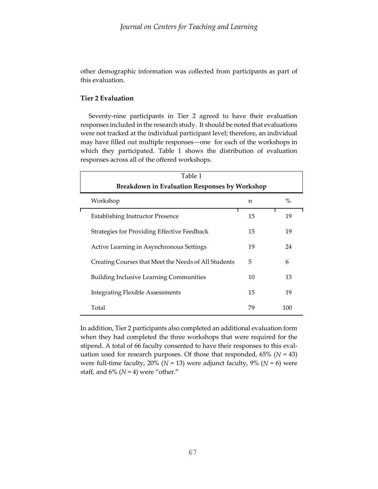other demographic information was collected from participants as part of this evaluation.

# **Tier 2 Evaluation**

 Seventy-nine participants in Tier 2 agreed to have their evaluation responses included in the research study. It should be noted that evaluations were not tracked at the individual participant level; therefore, an individual may have filled out multiple responses—one for each of the workshops in which they participated. Table 1 shows the distribution of evaluation responses across all of the offered workshops.

| Table 1                                              |             |      |  |  |  |
|------------------------------------------------------|-------------|------|--|--|--|
| Breakdown in Evaluation Responses by Workshop        |             |      |  |  |  |
| Workshop                                             | $\mathbf n$ | $\%$ |  |  |  |
| <b>Establishing Instructor Presence</b>              | 15          | 19   |  |  |  |
| Strategies for Providing Effective Feedback          | 15          | 19   |  |  |  |
| Active Learning in Asynchronous Settings             | 19          | 24   |  |  |  |
| Creating Courses that Meet the Needs of All Students | 5           | 6    |  |  |  |
| <b>Building Inclusive Learning Communities</b>       | 10          | 13   |  |  |  |
| <b>Integrating Flexible Assessments</b>              | 15          | 19   |  |  |  |
| Total                                                | 79          | 100  |  |  |  |

In addition, Tier 2 participants also completed an additional evaluation form when they had completed the three workshops that were required for the stipend. A total of 66 faculty consented to have their responses to this evaluation used for research purposes. Of those that responded, 65% (*N* = 43) were full-time faculty, 20% ( $N = 13$ ) were adjunct faculty, 9% ( $N = 6$ ) were staff, and  $6\%$  ( $N = 4$ ) were "other."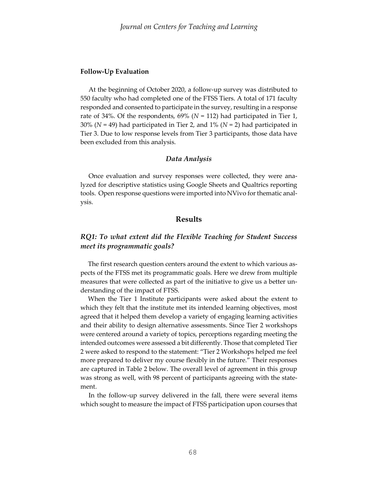### **Follow-Up Evaluation**

 At the beginning of October 2020, a follow-up survey was distributed to 550 faculty who had completed one of the FTSS Tiers. A total of 171 faculty responded and consented to participate in the survey, resulting in a response rate of 34%. Of the respondents, 69% (*N* = 112) had participated in Tier 1, 30% (*N* = 49) had participated in Tier 2, and 1% (*N* = 2) had participated in Tier 3. Due to low response levels from Tier 3 participants, those data have been excluded from this analysis.

## *Data Analysis*

 Once evaluation and survey responses were collected, they were analyzed for descriptive statistics using Google Sheets and Qualtrics reporting tools. Open response questions were imported into NVivo for thematic analysis.

## **Results**

# *RQ1: To what extent did the Flexible Teaching for Student Success meet its programmatic goals?*

The first research question centers around the extent to which various aspects of the FTSS met its programmatic goals. Here we drew from multiple measures that were collected as part of the initiative to give us a better understanding of the impact of FTSS.

When the Tier 1 Institute participants were asked about the extent to which they felt that the institute met its intended learning objectives, most agreed that it helped them develop a variety of engaging learning activities and their ability to design alternative assessments. Since Tier 2 workshops were centered around a variety of topics, perceptions regarding meeting the intended outcomes were assessed a bit differently. Those that completed Tier 2 were asked to respond to the statement: "Tier 2 Workshops helped me feel more prepared to deliver my course flexibly in the future." Their responses are captured in Table 2 below. The overall level of agreement in this group was strong as well, with 98 percent of participants agreeing with the statement.

 In the follow-up survey delivered in the fall, there were several items which sought to measure the impact of FTSS participation upon courses that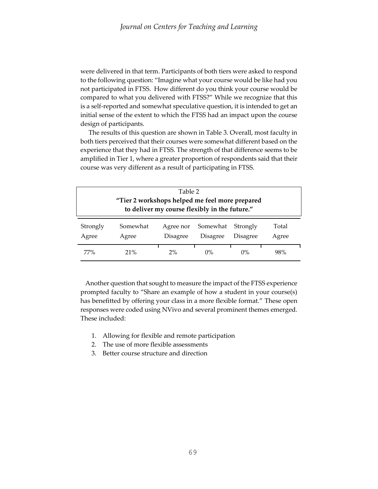were delivered in that term. Participants of both tiers were asked to respond to the following question: "Imagine what your course would be like had you not participated in FTSS. How different do you think your course would be compared to what you delivered with FTSS?" While we recognize that this is a self-reported and somewhat speculative question, it is intended to get an initial sense of the extent to which the FTSS had an impact upon the course design of participants.

 The results of this question are shown in Table 3. Overall, most faculty in both tiers perceived that their courses were somewhat different based on the experience that they had in FTSS. The strength of that difference seems to be amplified in Tier 1, where a greater proportion of respondents said that their course was very different as a result of participating in FTSS.

| Table 2<br>"Tier 2 workshops helped me feel more prepared<br>to deliver my course flexibly in the future."                                      |     |    |       |       |     |
|-------------------------------------------------------------------------------------------------------------------------------------------------|-----|----|-------|-------|-----|
| Somewhat<br>Strongly<br>Somewhat<br>Total<br>Strongly<br>Agree nor<br><b>Disagree</b><br>Disagree<br><b>Disagree</b><br>Agree<br>Agree<br>Agree |     |    |       |       |     |
| 77%                                                                                                                                             | 21% | 2% | $0\%$ | $0\%$ | 98% |

 Another question that sought to measure the impact of the FTSS experience prompted faculty to "Share an example of how a student in your course(s) has benefitted by offering your class in a more flexible format." These open responses were coded using NVivo and several prominent themes emerged. These included:

- 1. Allowing for flexible and remote participation
- 2. The use of more flexible assessments
- 3. Better course structure and direction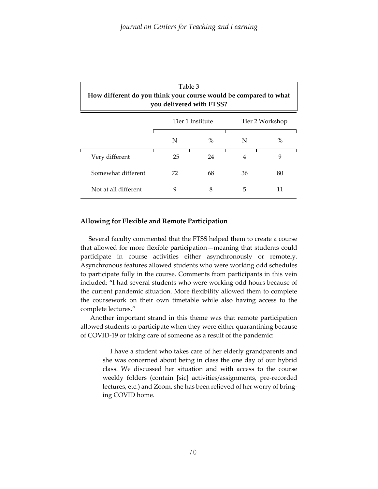| Table 3<br>How different do you think your course would be compared to what<br>you delivered with FTSS? |                  |      |    |                 |
|---------------------------------------------------------------------------------------------------------|------------------|------|----|-----------------|
|                                                                                                         | Tier 1 Institute |      |    | Tier 2 Workshop |
|                                                                                                         | N                | $\%$ | N  | $\%$            |
| Very different                                                                                          | 25               | 24   | 4  | 9               |
| Somewhat different                                                                                      | 72               | 68   | 36 | 80              |
| Not at all different                                                                                    | 9                | 8    | 5  | 11              |

## **Allowing for Flexible and Remote Participation**

 Several faculty commented that the FTSS helped them to create a course that allowed for more flexible participation—meaning that students could participate in course activities either asynchronously or remotely. Asynchronous features allowed students who were working odd schedules to participate fully in the course. Comments from participants in this vein included: "I had several students who were working odd hours because of the current pandemic situation. More flexibility allowed them to complete the coursework on their own timetable while also having access to the complete lectures."

 Another important strand in this theme was that remote participation allowed students to participate when they were either quarantining because of COVID-19 or taking care of someone as a result of the pandemic:

I have a student who takes care of her elderly grandparents and she was concerned about being in class the one day of our hybrid class. We discussed her situation and with access to the course weekly folders (contain [sic] activities/assignments, pre-recorded lectures, etc.) and Zoom, she has been relieved of her worry of bringing COVID home.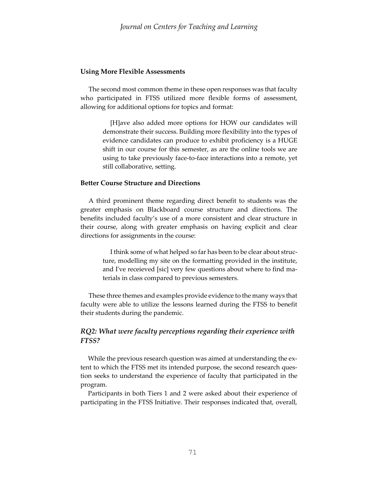### **Using More Flexible Assessments**

 The second most common theme in these open responses was that faculty who participated in FTSS utilized more flexible forms of assessment, allowing for additional options for topics and format:

> [H]ave also added more options for HOW our candidates will demonstrate their success. Building more flexibility into the types of evidence candidates can produce to exhibit proficiency is a HUGE shift in our course for this semester, as are the online tools we are using to take previously face-to-face interactions into a remote, yet still collaborative, setting.

## **Better Course Structure and Directions**

 A third prominent theme regarding direct benefit to students was the greater emphasis on Blackboard course structure and directions. The benefits included faculty's use of a more consistent and clear structure in their course, along with greater emphasis on having explicit and clear directions for assignments in the course:

> I think some of what helped so far has been to be clear about structure, modelling my site on the formatting provided in the institute, and I've receieved [sic] very few questions about where to find materials in class compared to previous semesters.

 These three themes and examples provide evidence to the many ways that faculty were able to utilize the lessons learned during the FTSS to benefit their students during the pandemic.

# *RQ2: What were faculty perceptions regarding their experience with FTSS?*

While the previous research question was aimed at understanding the extent to which the FTSS met its intended purpose, the second research question seeks to understand the experience of faculty that participated in the program.

Participants in both Tiers 1 and 2 were asked about their experience of participating in the FTSS Initiative. Their responses indicated that, overall,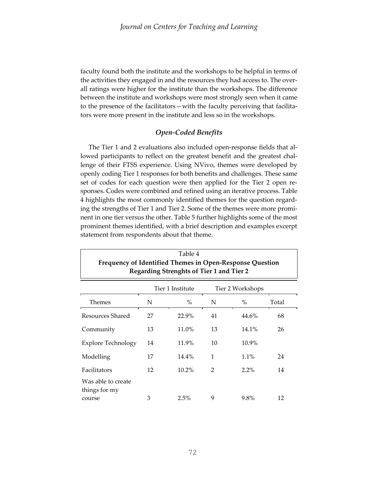faculty found both the institute and the workshops to be helpful in terms of the activities they engaged in and the resources they had access to. The overall ratings were higher for the institute than the workshops. The difference between the institute and workshops were most strongly seen when it came to the presence of the facilitators—with the faculty perceiving that facilitators were more present in the institute and less so in the workshops.

## *Open-Coded Benefits*

 The Tier 1 and 2 evaluations also included open-response fields that allowed participants to reflect on the greatest benefit and the greatest challenge of their FTSS experience. Using NVivo, themes were developed by openly coding Tier 1 responses for both benefits and challenges. These same set of codes for each question were then applied for the Tier 2 open responses. Codes were combined and refined using an iterative process. Table 4 highlights the most commonly identified themes for the question regarding the strengths of Tier 1 and Tier 2. Some of the themes were more prominent in one tier versus the other. Table 5 further highlights some of the most prominent themes identified, with a brief description and examples excerpt statement from respondents about that theme.

| Table 4<br>Frequency of Identified Themes in Open-Response Question<br>Regarding Strenghts of Tier 1 and Tier 2 |    |          |    |          |       |  |
|-----------------------------------------------------------------------------------------------------------------|----|----------|----|----------|-------|--|
| Tier 1 Institute<br>Tier 2 Workshops                                                                            |    |          |    |          |       |  |
| Themes                                                                                                          | N  | $\%$     | N  | $\%$     | Total |  |
| Resources Shared                                                                                                | 27 | 22.9%    | 41 | 44.6%    | 68    |  |
| Community                                                                                                       | 13 | 11.0%    | 13 | 14.1%    | 26    |  |
| <b>Explore Technology</b>                                                                                       | 14 | 11.9%    | 10 | $10.9\%$ |       |  |
| Modelling                                                                                                       | 17 | $14.4\%$ | 1  | 1.1%     | 24    |  |
| Facilitators                                                                                                    | 12 | $10.2\%$ | 2  | $2.2\%$  | 14    |  |
| Was able to create<br>things for my<br>course                                                                   | 3  | 2.5%     | 9  | 9.8%     | 12    |  |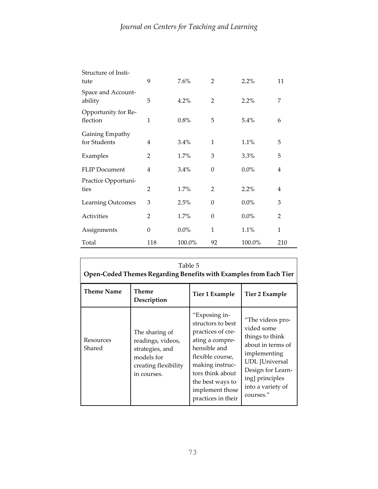| Structure of Insti-<br>tute     | 9                | 7.6%    | $\overline{2}$ | 2.2%    | 11  |
|---------------------------------|------------------|---------|----------------|---------|-----|
| Space and Account-<br>ability   | 5                | 4.2%    | $\overline{2}$ | 2.2%    | 7   |
| Opportunity for Re-<br>flection | $\mathbf{1}$     | 0.8%    | 5              | 5.4%    | 6   |
| Gaining Empathy<br>for Students | $\overline{4}$   | 3.4%    | $\mathbf{1}$   | 1.1%    | 5   |
| Examples                        | $\overline{2}$   | 1.7%    | 3              | 3.3%    | 5   |
| <b>FLIP Document</b>            | 4                | 3.4%    | $\theta$       | $0.0\%$ | 4   |
| Practice Opportuni-<br>ties     | $\overline{2}$   | 1.7%    | $\overline{2}$ | 2.2%    | 4   |
| <b>Learning Outcomes</b>        | 3                | 2.5%    | $\theta$       | $0.0\%$ | 3   |
| Activities                      | $\overline{2}$   | 1.7%    | $\theta$       | $0.0\%$ | 2   |
| Assignments                     | $\boldsymbol{0}$ | $0.0\%$ | 1              | 1.1%    | 1   |
| Total                           | 118              | 100.0%  | 92             | 100.0%  | 210 |

| Table 5<br>Open-Coded Themes Regarding Benefits with Examples from Each Tier |                                                                                                             |                                                                                                                                                                                                                    |                                                                                                                                                                                           |  |
|------------------------------------------------------------------------------|-------------------------------------------------------------------------------------------------------------|--------------------------------------------------------------------------------------------------------------------------------------------------------------------------------------------------------------------|-------------------------------------------------------------------------------------------------------------------------------------------------------------------------------------------|--|
| <b>Theme Name</b>                                                            | Theme<br>Description                                                                                        | Tier 1 Example                                                                                                                                                                                                     | Tier 2 Example                                                                                                                                                                            |  |
| Resources<br>Shared                                                          | The sharing of<br>readings, videos,<br>strategies, and<br>models for<br>creating flexibility<br>in courses. | "Exposing in-<br>structors to best<br>practices of cre-<br>ating a compre-<br>hensible and<br>flexible course,<br>making instruc-<br>tors think about<br>the best ways to<br>implement those<br>practices in their | "The videos pro-<br>vided some<br>things to think<br>about in terms of<br>implementing<br><b>UDL</b> [Universal<br>Design for Learn-<br>ing] principles<br>into a variety of<br>courses." |  |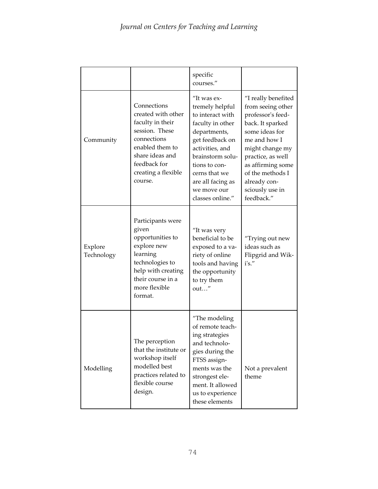|                       |                                                                                                                                                                                | specific<br>courses."                                                                                                                                                                                                                      |                                                                                                                                                                                                                                                       |
|-----------------------|--------------------------------------------------------------------------------------------------------------------------------------------------------------------------------|--------------------------------------------------------------------------------------------------------------------------------------------------------------------------------------------------------------------------------------------|-------------------------------------------------------------------------------------------------------------------------------------------------------------------------------------------------------------------------------------------------------|
| Community             | Connections<br>created with other<br>faculty in their<br>session. These<br>connections<br>enabled them to<br>share ideas and<br>feedback for<br>creating a flexible<br>course. | "It was ex-<br>tremely helpful<br>to interact with<br>faculty in other<br>departments,<br>get feedback on<br>activities, and<br>brainstorm solu-<br>tions to con-<br>cerns that we<br>are all facing as<br>we move our<br>classes online." | "I really benefited<br>from seeing other<br>professor's feed-<br>back. It sparked<br>some ideas for<br>me and how I<br>might change my<br>practice, as well<br>as affirming some<br>of the methods I<br>already con-<br>sciously use in<br>feedback." |
| Explore<br>Technology | Participants were<br>given<br>opportunities to<br>explore new<br>learning<br>technologies to<br>help with creating<br>their course in a<br>more flexible<br>format.            | "It was very<br>beneficial to be<br>exposed to a va-<br>riety of online<br>tools and having<br>the opportunity<br>to try them<br>out"                                                                                                      | "Trying out new<br>ideas such as<br>Flipgrid and Wik-<br>i's."                                                                                                                                                                                        |
| Modelling             | The perception<br>that the institute or<br>workshop itself<br>modelled best<br>practices related to<br>flexible course<br>design.                                              | "The modeling<br>of remote teach-<br>ing strategies<br>and technolo-<br>gies during the<br>FTSS assign-<br>ments was the<br>strongest ele-<br>ment. It allowed<br>us to experience<br>these elements                                       | Not a prevalent<br>theme                                                                                                                                                                                                                              |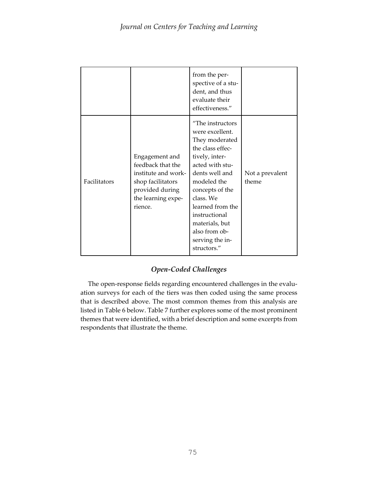|              |                                                                                                                                     | from the per-<br>spective of a stu-<br>dent, and thus<br>evaluate their<br>effectiveness."                                                                                                                                                                                                |                          |
|--------------|-------------------------------------------------------------------------------------------------------------------------------------|-------------------------------------------------------------------------------------------------------------------------------------------------------------------------------------------------------------------------------------------------------------------------------------------|--------------------------|
| Facilitators | Engagement and<br>feedback that the<br>institute and work-<br>shop facilitators<br>provided during<br>the learning expe-<br>rience. | "The instructors<br>were excellent.<br>They moderated<br>the class effec-<br>tively, inter-<br>acted with stu-<br>dents well and<br>modeled the<br>concepts of the<br>class. We<br>learned from the<br>instructional<br>materials, but<br>also from ob-<br>serving the in-<br>structors." | Not a prevalent<br>theme |

# *Open-Coded Challenges*

The open-response fields regarding encountered challenges in the evaluation surveys for each of the tiers was then coded using the same process that is described above. The most common themes from this analysis are listed in Table 6 below. Table 7 further explores some of the most prominent themes that were identified, with a brief description and some excerpts from respondents that illustrate the theme.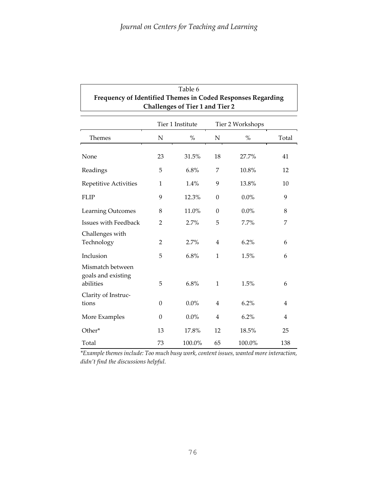| Table 6<br>Frequency of Identified Themes in Coded Responses Regarding<br>Challenges of Tier 1 and Tier 2 |                |        |                  |         |                |
|-----------------------------------------------------------------------------------------------------------|----------------|--------|------------------|---------|----------------|
| Tier 1 Institute<br>Tier 2 Workshops                                                                      |                |        |                  |         |                |
| Themes                                                                                                    | ${\bf N}$      | $\%$   | $\mathbf N$      | $\%$    | Total          |
| None                                                                                                      | 23             | 31.5%  | 18               | 27.7%   | 41             |
| Readings                                                                                                  | 5              | 6.8%   | 7                | 10.8%   | 12             |
| Repetitive Activities                                                                                     | 1              | 1.4%   | 9                | 13.8%   | 10             |
| <b>FLIP</b>                                                                                               | 9              | 12.3%  | $\boldsymbol{0}$ | $0.0\%$ | 9              |
| Learning Outcomes                                                                                         | 8              | 11.0%  | $\theta$         | $0.0\%$ | 8              |
| Issues with Feedback                                                                                      | $\overline{2}$ | 2.7%   | 5                | 7.7%    | 7              |
| Challenges with<br>Technology                                                                             | 2              | 2.7%   | $\overline{4}$   | 6.2%    | 6              |
| Inclusion                                                                                                 | 5              | 6.8%   | $\mathbf{1}$     | 1.5%    | 6              |
| Mismatch between<br>goals and existing<br>abilities                                                       | 5              | 6.8%   | $\mathbf{1}$     | 1.5%    | 6              |
| Clarity of Instruc-<br>tions                                                                              | $\theta$       | 0.0%   | $\overline{4}$   | 6.2%    | $\overline{4}$ |
| More Examples                                                                                             | $\theta$       | 0.0%   | $\overline{4}$   | 6.2%    | 4              |
| Other*                                                                                                    | 13             | 17.8%  | 12               | 18.5%   | 25             |
| Total                                                                                                     | 73             | 100.0% | 65               | 100.0%  | 138            |

*\*Example themes include: Too much busy work, content issues, wanted more interaction, didn't find the discussions helpful.*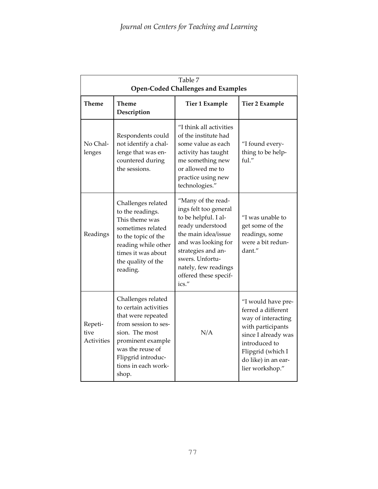|                               | Table 7<br><b>Open-Coded Challenges and Examples</b>                                                                                                                                                       |                                                                                                                                                                                                                                          |                                                                                                                                                                                            |  |
|-------------------------------|------------------------------------------------------------------------------------------------------------------------------------------------------------------------------------------------------------|------------------------------------------------------------------------------------------------------------------------------------------------------------------------------------------------------------------------------------------|--------------------------------------------------------------------------------------------------------------------------------------------------------------------------------------------|--|
| Theme                         | <b>Theme</b><br>Description                                                                                                                                                                                | <b>Tier 1 Example</b>                                                                                                                                                                                                                    | <b>Tier 2 Example</b>                                                                                                                                                                      |  |
| No Chal-<br>lenges            | Respondents could<br>not identify a chal-<br>lenge that was en-<br>countered during<br>the sessions.                                                                                                       | "I think all activities<br>of the institute had<br>some value as each<br>activity has taught<br>me something new<br>or allowed me to<br>practice using new<br>technologies."                                                             | "I found every-<br>thing to be help-<br>ful."                                                                                                                                              |  |
| Readings                      | Challenges related<br>to the readings.<br>This theme was<br>sometimes related<br>to the topic of the<br>reading while other<br>times it was about<br>the quality of the<br>reading.                        | "Many of the read-<br>ings felt too general<br>to be helpful. I al-<br>ready understood<br>the main idea/issue<br>and was looking for<br>strategies and an-<br>swers. Unfortu-<br>nately, few readings<br>offered these specif-<br>ics." | "I was unable to<br>get some of the<br>readings, some<br>were a bit redun-<br>dant."                                                                                                       |  |
| Repeti-<br>tive<br>Activities | Challenges related<br>to certain activities<br>that were repeated<br>from session to ses-<br>sion. The most<br>prominent example<br>was the reuse of<br>Flipgrid introduc-<br>tions in each work-<br>shop. | N/A                                                                                                                                                                                                                                      | "I would have pre-<br>ferred a different<br>way of interacting<br>with participants<br>since I already was<br>introduced to<br>Flipgrid (which I<br>do like) in an ear-<br>lier workshop." |  |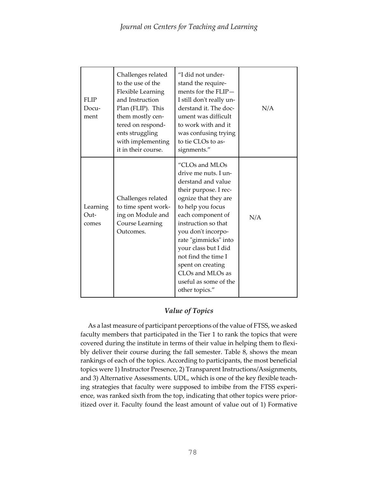| <b>FLIP</b><br>Docu-<br>ment | Challenges related<br>to the use of the<br>Flexible Learning<br>and Instruction<br>Plan (FLIP). This<br>them mostly cen-<br>tered on respond-<br>ents struggling<br>with implementing<br>it in their course. | "I did not under-<br>stand the require-<br>ments for the $FLIP-$<br>I still don't really un-<br>derstand it. The doc-<br>ument was difficult<br>to work with and it<br>was confusing trying<br>to tie CLOs to as-<br>signments."                                                                                                                                | N/A |
|------------------------------|--------------------------------------------------------------------------------------------------------------------------------------------------------------------------------------------------------------|-----------------------------------------------------------------------------------------------------------------------------------------------------------------------------------------------------------------------------------------------------------------------------------------------------------------------------------------------------------------|-----|
| Learning<br>Out-<br>comes    | Challenges related<br>to time spent work-<br>ing on Module and<br><b>Course Learning</b><br>Outcomes.                                                                                                        | "CLOs and MLOs<br>drive me nuts. I un-<br>derstand and value<br>their purpose. I rec-<br>ognize that they are<br>to help you focus<br>each component of<br>instruction so that<br>you don't incorpo-<br>rate "gimmicks" into<br>your class but I did<br>not find the time I<br>spent on creating<br>CLOs and MLOs as<br>useful as some of the<br>other topics." | N/A |

# *Value of Topics*

As a last measure of participant perceptions of the value of FTSS, we asked faculty members that participated in the Tier 1 to rank the topics that were covered during the institute in terms of their value in helping them to flexibly deliver their course during the fall semester. Table 8, shows the mean rankings of each of the topics. According to participants, the most beneficial topics were 1) Instructor Presence, 2) Transparent Instructions/Assignments, and 3) Alternative Assessments. UDL, which is one of the key flexible teaching strategies that faculty were supposed to imbibe from the FTSS experience, was ranked sixth from the top, indicating that other topics were prioritized over it. Faculty found the least amount of value out of 1) Formative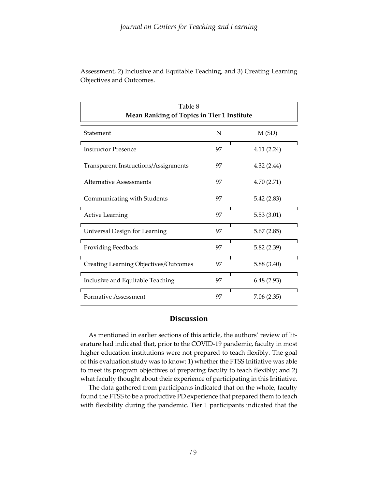| Table 8<br>Mean Ranking of Topics in Tier 1 Institute |    |            |  |
|-------------------------------------------------------|----|------------|--|
| Statement                                             | N  | M(SD)      |  |
| <b>Instructor Presence</b>                            | 97 | 4.11(2.24) |  |
| <b>Transparent Instructions/Assignments</b>           | 97 | 4.32(2.44) |  |
| Alternative Assessments                               | 97 | 4.70(2.71) |  |
| Communicating with Students                           | 97 | 5.42(2.83) |  |
| <b>Active Learning</b>                                | 97 | 5.53(3.01) |  |
| Universal Design for Learning                         | 97 | 5.67(2.85) |  |
| Providing Feedback                                    | 97 | 5.82(2.39) |  |
| <b>Creating Learning Objectives/Outcomes</b>          | 97 | 5.88(3.40) |  |
| Inclusive and Equitable Teaching                      | 97 | 6.48(2.93) |  |
| Formative Assessment                                  | 97 | 7.06(2.35) |  |

Assessment, 2) Inclusive and Equitable Teaching, and 3) Creating Learning Objectives and Outcomes.

# **Discussion**

 As mentioned in earlier sections of this article, the authors' review of literature had indicated that, prior to the COVID-19 pandemic, faculty in most higher education institutions were not prepared to teach flexibly. The goal of this evaluation study was to know: 1) whether the FTSS Initiative was able to meet its program objectives of preparing faculty to teach flexibly; and 2) what faculty thought about their experience of participating in this Initiative.

 The data gathered from participants indicated that on the whole, faculty found the FTSS to be a productive PD experience that prepared them to teach with flexibility during the pandemic. Tier 1 participants indicated that the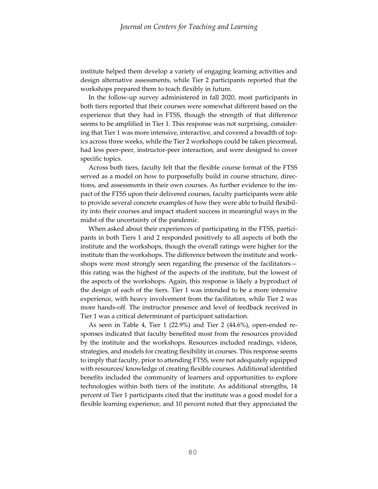institute helped them develop a variety of engaging learning activities and design alternative assessments, while Tier 2 participants reported that the workshops prepared them to teach flexibly in future.

 In the follow-up survey administered in fall 2020, most participants in both tiers reported that their courses were somewhat different based on the experience that they had in FTSS, though the strength of that difference seems to be amplified in Tier 1. This response was not surprising, considering that Tier 1 was more intensive, interactive, and covered a breadth of topics across three weeks, while the Tier 2 workshops could be taken piecemeal, had less peer-peer, instructor-peer interaction, and were designed to cover specific topics.

 Across both tiers, faculty felt that the flexible course format of the FTSS served as a model on how to purposefully build in course structure, directions, and assessments in their own courses. As further evidence to the impact of the FTSS upon their delivered courses, faculty participants were able to provide several concrete examples of how they were able to build flexibility into their courses and impact student success in meaningful ways in the midst of the uncertainty of the pandemic.

 When asked about their experiences of participating in the FTSS, participants in both Tiers 1 and 2 responded positively to all aspects of both the institute and the workshops, though the overall ratings were higher for the institute than the workshops. The difference between the institute and workshops were most strongly seen regarding the presence of the facilitators this rating was the highest of the aspects of the institute, but the lowest of the aspects of the workshops. Again, this response is likely a byproduct of the design of each of the tiers. Tier 1 was intended to be a more intensive experience, with heavy involvement from the facilitators, while Tier 2 was more hands-off. The instructor presence and level of feedback received in Tier 1 was a critical determinant of participant satisfaction.

 As seen in Table 4, Tier 1 (22.9%) and Tier 2 (44.6%), open-ended responses indicated that faculty benefited most from the resources provided by the institute and the workshops. Resources included readings, videos, strategies, and models for creating flexibility in courses. This response seems to imply that faculty, prior to attending FTSS, were not adequately equipped with resources/ knowledge of creating flexible courses. Additional identified benefits included the community of learners and opportunities to explore technologies within both tiers of the institute. As additional strengths, 14 percent of Tier 1 participants cited that the institute was a good model for a flexible learning experience, and 10 percent noted that they appreciated the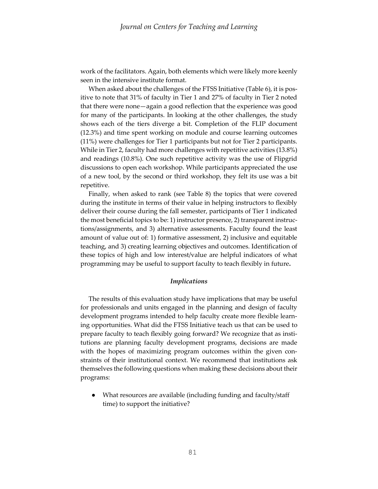work of the facilitators. Again, both elements which were likely more keenly seen in the intensive institute format.

 When asked about the challenges of the FTSS Initiative (Table 6), it is positive to note that 31% of faculty in Tier 1 and 27% of faculty in Tier 2 noted that there were none—again a good reflection that the experience was good for many of the participants. In looking at the other challenges, the study shows each of the tiers diverge a bit. Completion of the FLIP document (12.3%) and time spent working on module and course learning outcomes (11%) were challenges for Tier 1 participants but not for Tier 2 participants. While in Tier 2, faculty had more challenges with repetitive activities (13.8%) and readings (10.8%). One such repetitive activity was the use of Flipgrid discussions to open each workshop. While participants appreciated the use of a new tool, by the second or third workshop, they felt its use was a bit repetitive.

 Finally, when asked to rank (see Table 8) the topics that were covered during the institute in terms of their value in helping instructors to flexibly deliver their course during the fall semester, participants of Tier 1 indicated the most beneficial topics to be: 1) instructor presence, 2) transparent instructions/assignments, and 3) alternative assessments. Faculty found the least amount of value out of: 1) formative assessment, 2) inclusive and equitable teaching, and 3) creating learning objectives and outcomes. Identification of these topics of high and low interest/value are helpful indicators of what programming may be useful to support faculty to teach flexibly in future**.** 

#### *Implications*

 The results of this evaluation study have implications that may be useful for professionals and units engaged in the planning and design of faculty development programs intended to help faculty create more flexible learning opportunities. What did the FTSS Initiative teach us that can be used to prepare faculty to teach flexibly going forward? We recognize that as institutions are planning faculty development programs, decisions are made with the hopes of maximizing program outcomes within the given constraints of their institutional context. We recommend that institutions ask themselves the following questions when making these decisions about their programs:

● What resources are available (including funding and faculty/staff time) to support the initiative?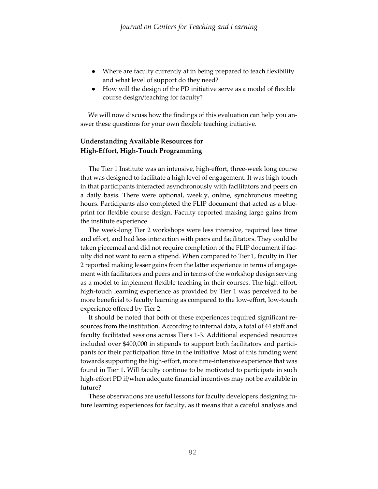- Where are faculty currently at in being prepared to teach flexibility and what level of support do they need?
- How will the design of the PD initiative serve as a model of flexible course design/teaching for faculty?

We will now discuss how the findings of this evaluation can help you answer these questions for your own flexible teaching initiative.

# **Understanding Available Resources for High-Effort, High-Touch Programming**

 The Tier 1 Institute was an intensive, high-effort, three-week long course that was designed to facilitate a high level of engagement. It was high-touch in that participants interacted asynchronously with facilitators and peers on a daily basis. There were optional, weekly, online, synchronous meeting hours. Participants also completed the FLIP document that acted as a blueprint for flexible course design. Faculty reported making large gains from the institute experience.

 The week-long Tier 2 workshops were less intensive, required less time and effort, and had less interaction with peers and facilitators. They could be taken piecemeal and did not require completion of the FLIP document if faculty did not want to earn a stipend. When compared to Tier 1, faculty in Tier 2 reported making lesser gains from the latter experience in terms of engagement with facilitators and peers and in terms of the workshop design serving as a model to implement flexible teaching in their courses. The high-effort, high-touch learning experience as provided by Tier 1 was perceived to be more beneficial to faculty learning as compared to the low-effort, low-touch experience offered by Tier 2.

 It should be noted that both of these experiences required significant resources from the institution. According to internal data, a total of 44 staff and faculty facilitated sessions across Tiers 1-3. Additional expended resources included over \$400,000 in stipends to support both facilitators and participants for their participation time in the initiative. Most of this funding went towards supporting the high-effort, more time-intensive experience that was found in Tier 1. Will faculty continue to be motivated to participate in such high-effort PD if/when adequate financial incentives may not be available in future?

 These observations are useful lessons for faculty developers designing future learning experiences for faculty, as it means that a careful analysis and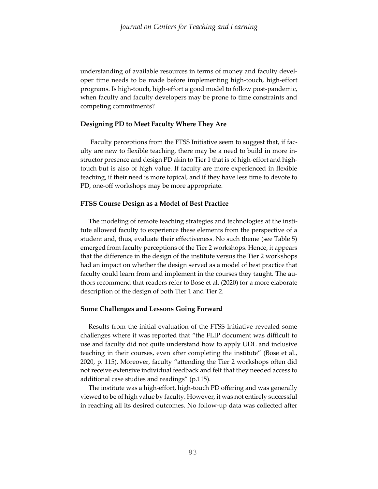understanding of available resources in terms of money and faculty developer time needs to be made before implementing high-touch, high-effort programs. Is high-touch, high-effort a good model to follow post-pandemic, when faculty and faculty developers may be prone to time constraints and competing commitments?

#### **Designing PD to Meet Faculty Where They Are**

Faculty perceptions from the FTSS Initiative seem to suggest that, if faculty are new to flexible teaching, there may be a need to build in more instructor presence and design PD akin to Tier 1 that is of high-effort and hightouch but is also of high value. If faculty are more experienced in flexible teaching, if their need is more topical, and if they have less time to devote to PD, one-off workshops may be more appropriate.

### **FTSS Course Design as a Model of Best Practice**

The modeling of remote teaching strategies and technologies at the institute allowed faculty to experience these elements from the perspective of a student and, thus, evaluate their effectiveness. No such theme (see Table 5) emerged from faculty perceptions of the Tier 2 workshops. Hence, it appears that the difference in the design of the institute versus the Tier 2 workshops had an impact on whether the design served as a model of best practice that faculty could learn from and implement in the courses they taught. The authors recommend that readers refer to Bose et al. (2020) for a more elaborate description of the design of both Tier 1 and Tier 2.

#### **Some Challenges and Lessons Going Forward**

 Results from the initial evaluation of the FTSS Initiative revealed some challenges where it was reported that "the FLIP document was difficult to use and faculty did not quite understand how to apply UDL and inclusive teaching in their courses, even after completing the institute" (Bose et al., 2020, p. 115). Moreover, faculty "attending the Tier 2 workshops often did not receive extensive individual feedback and felt that they needed access to additional case studies and readings" (p.115).

 The institute was a high-effort, high-touch PD offering and was generally viewed to be of high value by faculty. However, it was not entirely successful in reaching all its desired outcomes. No follow-up data was collected after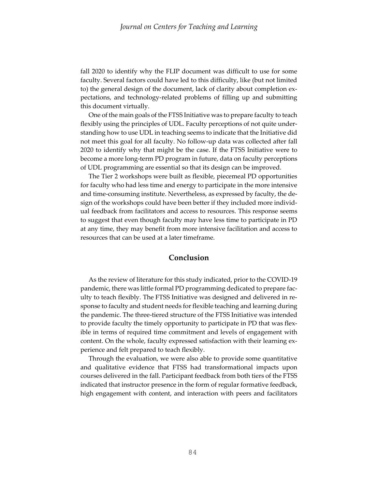fall 2020 to identify why the FLIP document was difficult to use for some faculty. Several factors could have led to this difficulty, like (but not limited to) the general design of the document, lack of clarity about completion expectations, and technology-related problems of filling up and submitting this document virtually.

 One of the main goals of the FTSS Initiative was to prepare faculty to teach flexibly using the principles of UDL. Faculty perceptions of not quite understanding how to use UDL in teaching seems to indicate that the Initiative did not meet this goal for all faculty. No follow-up data was collected after fall 2020 to identify why that might be the case. If the FTSS Initiative were to become a more long-term PD program in future, data on faculty perceptions of UDL programming are essential so that its design can be improved.

 The Tier 2 workshops were built as flexible, piecemeal PD opportunities for faculty who had less time and energy to participate in the more intensive and time-consuming institute. Nevertheless, as expressed by faculty, the design of the workshops could have been better if they included more individual feedback from facilitators and access to resources. This response seems to suggest that even though faculty may have less time to participate in PD at any time, they may benefit from more intensive facilitation and access to resources that can be used at a later timeframe.

# **Conclusion**

 As the review of literature for this study indicated, prior to the COVID-19 pandemic, there was little formal PD programming dedicated to prepare faculty to teach flexibly. The FTSS Initiative was designed and delivered in response to faculty and student needs for flexible teaching and learning during the pandemic. The three-tiered structure of the FTSS Initiative was intended to provide faculty the timely opportunity to participate in PD that was flexible in terms of required time commitment and levels of engagement with content. On the whole, faculty expressed satisfaction with their learning experience and felt prepared to teach flexibly.

 Through the evaluation, we were also able to provide some quantitative and qualitative evidence that FTSS had transformational impacts upon courses delivered in the fall. Participant feedback from both tiers of the FTSS indicated that instructor presence in the form of regular formative feedback, high engagement with content, and interaction with peers and facilitators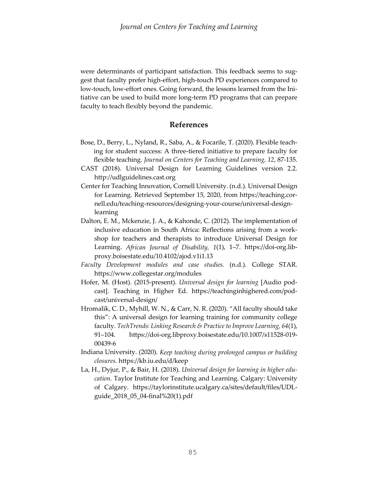were determinants of participant satisfaction. This feedback seems to suggest that faculty prefer high-effort, high-touch PD experiences compared to low-touch, low-effort ones. Going forward, the lessons learned from the Initiative can be used to build more long-term PD programs that can prepare faculty to teach flexibly beyond the pandemic.

## **References**

- Bose, D., Berry, L., Nyland, R., Saba, A., & Focarile, T. (2020). Flexible teaching for student success: A three-tiered initiative to prepare faculty for flexible teaching. *Journal on Centers for Teaching and Learning, 12*, 87-135.
- CAST (2018). Universal Design for Learning Guidelines version 2.2. http://udlguidelines.cast.org
- Center for Teaching Innovation, Cornell University. (n.d.). Universal Design for Learning. Retrieved September 15, 2020, from https://teaching.cornell.edu/teaching-resources/designing-your-course/universal-designlearning
- Dalton, E. M., Mckenzie, J. A., & Kahonde, C. (2012). The implementation of inclusive education in South Africa: Reflections arising from a workshop for teachers and therapists to introduce Universal Design for Learning. *African Journal of Disability, 1*(1), 1–7. https://doi-org.libproxy.boisestate.edu/10.4102/ajod.v1i1.13
- *Faculty Development modules and case studies.* (n.d.). College STAR. <https://www.collegestar.org/modules>
- Hofer, M. (Host). (2015-present). *Universal design for learning* [Audio podcast]. Teaching in Higher Ed. https://teachinginhighered.com/podcast/universal-design/
- Hromalik, C. D., Myhill, W. N., & Carr, N. R. (2020). "All faculty should take this": A universal design for learning training for community college faculty. *TechTrends: Linking Research & Practice to Improve Learning, 64*(1), 91–104. [https://doi-org.libproxy.boisestate.edu/10.1007/s11528-019-](https://doi-org.libproxy.boisestate.edu/10.1007/s11528-019-00439-6) [00439-6](https://doi-org.libproxy.boisestate.edu/10.1007/s11528-019-00439-6)
- Indiana University. (2020). *Keep teaching during prolonged campus or building closures.* <https://kb.iu.edu/d/keep>
- La, H., Dyjur, P., & Bair, H. (2018). *Universal design for learning in higher education.* Taylor Institute for Teaching and Learning. Calgary: University of Calgary. [https://taylorinstitute.ucalgary.ca/sites/default/files/UDL](https://taylorinstitute.ucalgary.ca/sites/default/files/UDL-guide_2018_05_04-final%20(1).pdf)[guide\\_2018\\_05\\_04-final%20\(1\).pdf](https://taylorinstitute.ucalgary.ca/sites/default/files/UDL-guide_2018_05_04-final%20(1).pdf)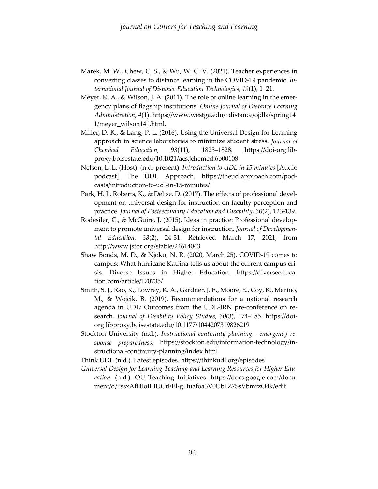- Marek, M. W., Chew, C. S., & Wu, W. C. V. (2021). Teacher experiences in converting classes to distance learning in the COVID-19 pandemic. *International Journal of Distance Education Technologies, 19*(1), 1–21.
- Meyer, K. A., & Wilson, J. A. (2011). The role of online learning in the emergency plans of flagship institutions. *Online Journal of Distance Learning Administration, 4*(1). <https://www.westga.edu/~distance/ojdla/spring14> 1/meyer\_wilson141.html.
- Miller, D. K., & Lang, P. L. (2016). Using the Universal Design for Learning approach in science laboratories to minimize student stress. *Journal of Chemical Education, 93*(11), 1823–1828. https://doi-org.libproxy.boisestate.edu/10.1021/acs.jchemed.6b00108
- Nelson, L .L. (Host). (n.d.-present). *Introduction to UDL in 15 minutes* [Audio podcast]. The UDL Approach. https://theudlapproach.com/podcasts/introduction-to-udl-in-15-minutes/
- Park, H. J., Roberts, K., & Delise, D. (2017). The effects of professional development on universal design for instruction on faculty perception and practice. *Journal of Postsecondary Education and Disability, 30*(2), 123-139.
- Rodesiler, C., & McGuire, J. (2015). Ideas in practice: Professional development to promote universal design for instruction. *Journal of Developmental Education, 38*(2), 24-31. Retrieved March 17, 2021, from <http://www.jstor.org/stable/24614043>
- Shaw Bonds, M. D., & Njoku, N. R. (2020, March 25). COVID-19 comes to campus: What hurricane Katrina tells us about the current campus crisis. Diverse Issues in Higher Education. [https://diverseeduca](https://diverseeducation.com/article/170735/)[tion.com/article/170735/](https://diverseeducation.com/article/170735/)
- Smith, S. J., Rao, K., Lowrey, K. A., Gardner, J. E., Moore, E., Coy, K., Marino, M., & Wojcik, B. (2019). Recommendations for a national research agenda in UDL: Outcomes from the UDL-IRN pre-conference on research. *Journal of Disability Policy Studies, 30*(3), 174–185. [https://doi](https://doi-org.libproxy.boisestate.edu/10.1177/1044207319826219)[org.libproxy.boisestate.edu/10.1177/1044207319826219](https://doi-org.libproxy.boisestate.edu/10.1177/1044207319826219)
- Stockton University (n.d.). *Instructional continuity planning - emergency response preparedness.* [https://stockton.edu/information-technology/in](https://stockton.edu/information-technology/instructional-continuity-planning/index.html)[structional-continuity-planning/index.html](https://stockton.edu/information-technology/instructional-continuity-planning/index.html)

Think UDL (n.d.). Latest episodes.<https://thinkudl.org/episodes>

*Universal Design for Learning Teaching and Learning Resources for Higher Education*. (n.d.). OU Teaching Initiatives. [https://docs.google.com/docu](https://docs.google.com/document/d/1ssxAfHloILIUCrFEl-gHuafoa3V0Ub1Z7SsVbmrzO4k/edit)[ment/d/1ssxAfHloILIUCrFEl-gHuafoa3V0Ub1Z7SsVbmrzO4k/edit](https://docs.google.com/document/d/1ssxAfHloILIUCrFEl-gHuafoa3V0Ub1Z7SsVbmrzO4k/edit)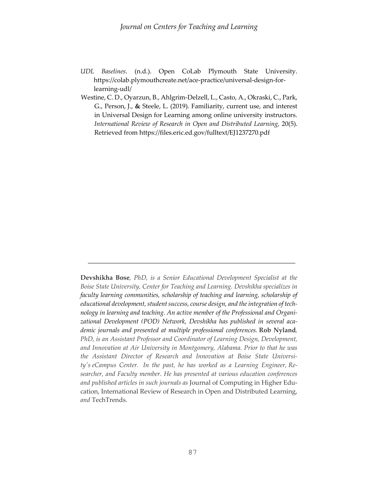- *UDL Baselines*. (n.d.). Open CoLab Plymouth State University. [https://colab.plymouthcreate.net/ace-practice/universal-design-for](https://colab.plymouthcreate.net/ace-practice/universal-design-for-learning-udl/)[learning-udl/](https://colab.plymouthcreate.net/ace-practice/universal-design-for-learning-udl/)
- Westine, C. D., Oyarzun, B., Ahlgrim-Delzell, L., Casto, A., Okraski, C., Park, G., Person, J., **&** Steele, L. (2019). Familiarity, current use, and interest in Universal Design for Learning among online university instructors. *International Review of Research in Open and Distributed Learning,* 20(5). Retrieved from https://files.eric.ed.gov/fulltext/EJ1237270.pdf

**Devshikha Bose***, PhD, is a Senior Educational Development Specialist at the Boise State University, Center for Teaching and Learning. Devshikha specializes in faculty learning communities, scholarship of teaching and learning, scholarship of educational development, student success, course design, and the integration of technology in learning and teaching. An active member of the Professional and Organizational Development (POD) Network, Devshikha has published in several academic journals and presented at multiple professional conferences.* **Rob Nyland***, PhD, is an Assistant Professor and Coordinator of Learning Design, Development, and Innovation at Air University in Montgomery, Alabama. Prior to that he was the Assistant Director of Research and Innovation at Boise State University's eCampus Center. In the past, he has worked as a Learning Engineer, Researcher, and Faculty member. He has presented at various education conferences and published articles in such journals as* Journal of Computing in Higher Education, International Review of Research in Open and Distributed Learning, *and* TechTrends.

\_\_\_\_\_\_\_\_\_\_\_\_\_\_\_\_\_\_\_\_\_\_\_\_\_\_\_\_\_\_\_\_\_\_\_\_\_\_\_\_\_\_\_\_\_\_\_\_\_\_\_\_\_\_\_\_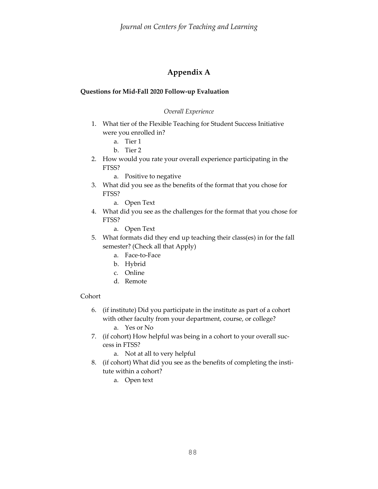# **Appendix A**

# **Questions for Mid-Fall 2020 Follow-up Evaluation**

# *Overall Experience*

- 1. What tier of the Flexible Teaching for Student Success Initiative were you enrolled in?
	- a. Tier 1
	- b. Tier 2
- 2. How would you rate your overall experience participating in the FTSS?
	- a. Positive to negative
- 3. What did you see as the benefits of the format that you chose for FTSS?
	- a. Open Text
- 4. What did you see as the challenges for the format that you chose for FTSS?
	- a. Open Text
- 5. What formats did they end up teaching their class(es) in for the fall semester? (Check all that Apply)
	- a. Face-to-Face
	- b. Hybrid
	- c. Online
	- d. Remote

# Cohort

- 6. (if institute) Did you participate in the institute as part of a cohort with other faculty from your department, course, or college?
	- a. Yes or No
- 7. (if cohort) How helpful was being in a cohort to your overall success in FTSS?
	- a. Not at all to very helpful
- 8. (if cohort) What did you see as the benefits of completing the institute within a cohort?
	- a. Open text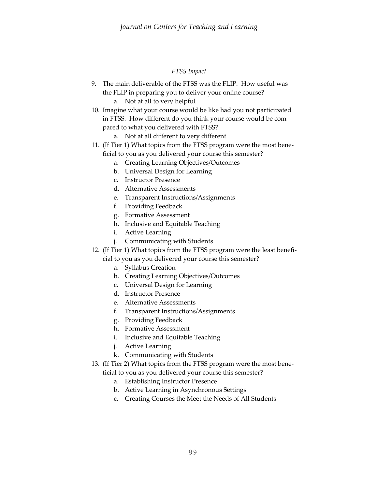# *FTSS Impact*

- 9. The main deliverable of the FTSS was the FLIP. How useful was the FLIP in preparing you to deliver your online course? a. Not at all to very helpful
- 10. Imagine what your course would be like had you not participated in FTSS. How different do you think your course would be compared to what you delivered with FTSS?
	- a. Not at all different to very different
- 11. (If Tier 1) What topics from the FTSS program were the most beneficial to you as you delivered your course this semester?
	- a. Creating Learning Objectives/Outcomes
	- b. Universal Design for Learning
	- c. Instructor Presence
	- d. Alternative Assessments
	- e. Transparent Instructions/Assignments
	- f. Providing Feedback
	- g. Formative Assessment
	- h. Inclusive and Equitable Teaching
	- i. Active Learning
	- j. Communicating with Students
- 12. (If Tier 1) What topics from the FTSS program were the least beneficial to you as you delivered your course this semester?
	- a. Syllabus Creation
	- b. Creating Learning Objectives/Outcomes
	- c. Universal Design for Learning
	- d. Instructor Presence
	- e. Alternative Assessments
	- f. Transparent Instructions/Assignments
	- g. Providing Feedback
	- h. Formative Assessment
	- i. Inclusive and Equitable Teaching
	- j. Active Learning
	- k. Communicating with Students
- 13. (If Tier 2) What topics from the FTSS program were the most bene
	- ficial to you as you delivered your course this semester?
		- a. Establishing Instructor Presence
		- b. Active Learning in Asynchronous Settings
		- c. Creating Courses the Meet the Needs of All Students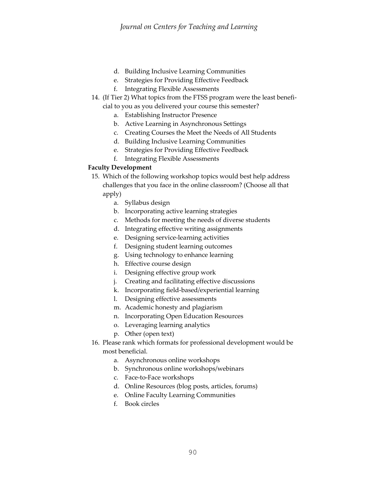- d. Building Inclusive Learning Communities
- e. Strategies for Providing Effective Feedback
- f. Integrating Flexible Assessments
- 14. (If Tier 2) What topics from the FTSS program were the least beneficial to you as you delivered your course this semester?
	- a. Establishing Instructor Presence
	- b. Active Learning in Asynchronous Settings
	- c. Creating Courses the Meet the Needs of All Students
	- d. Building Inclusive Learning Communities
	- e. Strategies for Providing Effective Feedback
	- f. Integrating Flexible Assessments

# **Faculty Development**

- 15. Which of the following workshop topics would best help address challenges that you face in the online classroom? (Choose all that apply)
	- a. Syllabus design
	- b. Incorporating active learning strategies
	- c. Methods for meeting the needs of diverse students
	- d. Integrating effective writing assignments
	- e. Designing service-learning activities
	- f. Designing student learning outcomes
	- g. Using technology to enhance learning
	- h. Effective course design
	- i. Designing effective group work
	- j. Creating and facilitating effective discussions
	- k. Incorporating field-based/experiential learning
	- l. Designing effective assessments
	- m. Academic honesty and plagiarism
	- n. Incorporating Open Education Resources
	- o. Leveraging learning analytics
	- p. Other (open text)
- 16. Please rank which formats for professional development would be most beneficial.
	- a. Asynchronous online workshops
	- b. Synchronous online workshops/webinars
	- c. Face-to-Face workshops
	- d. Online Resources (blog posts, articles, forums)
	- e. Online Faculty Learning Communities
	- f. Book circles